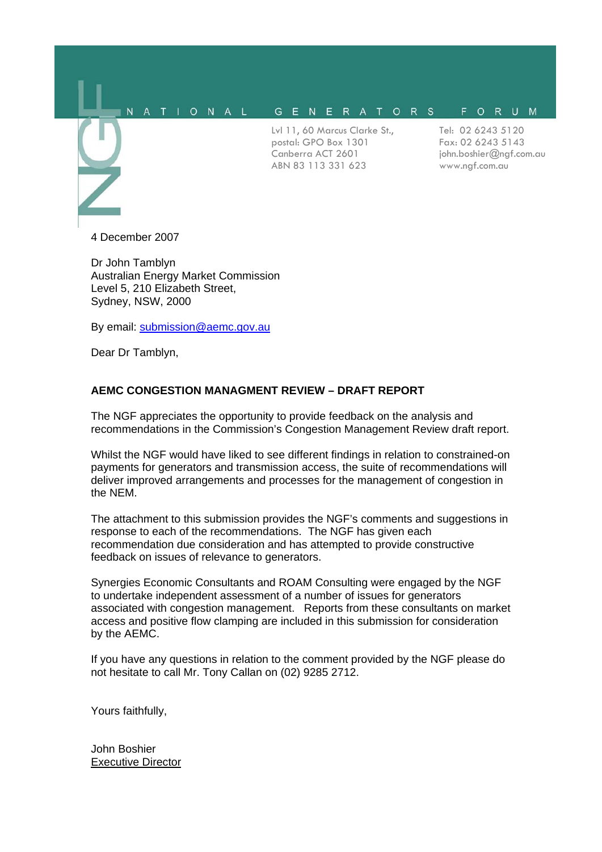#### GENERATORS FORUM NATIONAL

Lvl 11, 60 Marcus Clarke St., postal: GPO Box 1301 Canberra ACT 2601 ABN 83 113 331 623

Tel: 02 6243 5120 Fax: 02 6243 5143 john.boshier@ngf.com.au www.ngf.com.au

4 December 2007

l.

Dr John Tamblyn Australian Energy Market Commission Level 5, 210 Elizabeth Street, Sydney, NSW, 2000

By email: [submission@aemc.gov.au](mailto:submission@aemc.gov.au)

Dear Dr Tamblyn,

## **AEMC CONGESTION MANAGMENT REVIEW – DRAFT REPORT**

The NGF appreciates the opportunity to provide feedback on the analysis and recommendations in the Commission's Congestion Management Review draft report.

Whilst the NGF would have liked to see different findings in relation to constrained-on payments for generators and transmission access, the suite of recommendations will deliver improved arrangements and processes for the management of congestion in the NEM.

The attachment to this submission provides the NGF's comments and suggestions in response to each of the recommendations. The NGF has given each recommendation due consideration and has attempted to provide constructive feedback on issues of relevance to generators.

Synergies Economic Consultants and ROAM Consulting were engaged by the NGF to undertake independent assessment of a number of issues for generators associated with congestion management. Reports from these consultants on market access and positive flow clamping are included in this submission for consideration by the AEMC.

If you have any questions in relation to the comment provided by the NGF please do not hesitate to call Mr. Tony Callan on (02) 9285 2712.

Yours faithfully,

John Boshier Executive Director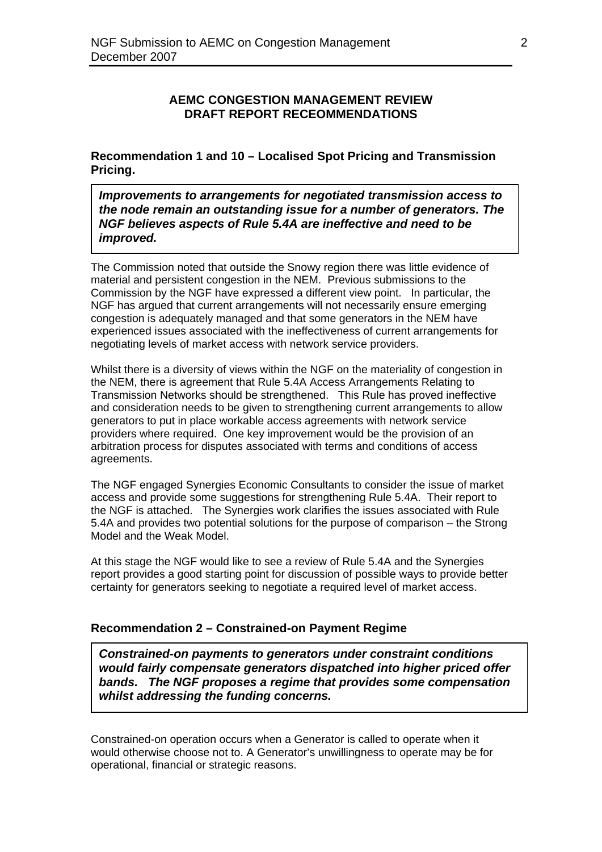# **AEMC CONGESTION MANAGEMENT REVIEW DRAFT REPORT RECEOMMENDATIONS**

**Recommendation 1 and 10 – Localised Spot Pricing and Transmission Pricing.** 

*Improvements to arrangements for negotiated transmission access to the node remain an outstanding issue for a number of generators. The NGF believes aspects of Rule 5.4A are ineffective and need to be improved.* 

The Commission noted that outside the Snowy region there was little evidence of material and persistent congestion in the NEM. Previous submissions to the Commission by the NGF have expressed a different view point. In particular, the NGF has argued that current arrangements will not necessarily ensure emerging congestion is adequately managed and that some generators in the NEM have experienced issues associated with the ineffectiveness of current arrangements for negotiating levels of market access with network service providers.

Whilst there is a diversity of views within the NGF on the materiality of congestion in the NEM, there is agreement that Rule 5.4A Access Arrangements Relating to Transmission Networks should be strengthened. This Rule has proved ineffective and consideration needs to be given to strengthening current arrangements to allow generators to put in place workable access agreements with network service providers where required. One key improvement would be the provision of an arbitration process for disputes associated with terms and conditions of access agreements.

The NGF engaged Synergies Economic Consultants to consider the issue of market access and provide some suggestions for strengthening Rule 5.4A. Their report to the NGF is attached. The Synergies work clarifies the issues associated with Rule 5.4A and provides two potential solutions for the purpose of comparison – the Strong Model and the Weak Model.

At this stage the NGF would like to see a review of Rule 5.4A and the Synergies report provides a good starting point for discussion of possible ways to provide better certainty for generators seeking to negotiate a required level of market access.

# **Recommendation 2 – Constrained-on Payment Regime**

*Constrained-on payments to generators under constraint conditions would fairly compensate generators dispatched into higher priced offer bands. The NGF proposes a regime that provides some compensation whilst addressing the funding concerns.* 

Constrained-on operation occurs when a Generator is called to operate when it would otherwise choose not to. A Generator's unwillingness to operate may be for operational, financial or strategic reasons.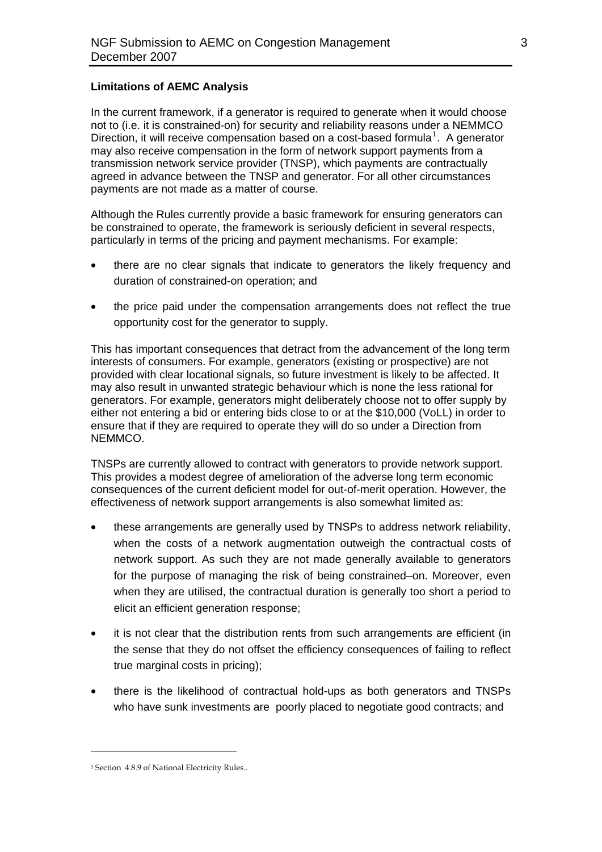### **Limitations of AEMC Analysis**

In the current framework, if a generator is required to generate when it would choose not to (i.e. it is constrained-on) for security and reliability reasons under a NEMMCO Direction, it will receive compensation based on a cost-based formula<sup>[1](#page-2-0)</sup>. A generator may also receive compensation in the form of network support payments from a transmission network service provider (TNSP), which payments are contractually agreed in advance between the TNSP and generator. For all other circumstances payments are not made as a matter of course.

Although the Rules currently provide a basic framework for ensuring generators can be constrained to operate, the framework is seriously deficient in several respects, particularly in terms of the pricing and payment mechanisms. For example:

- there are no clear signals that indicate to generators the likely frequency and duration of constrained-on operation; and
- the price paid under the compensation arrangements does not reflect the true opportunity cost for the generator to supply.

This has important consequences that detract from the advancement of the long term interests of consumers. For example, generators (existing or prospective) are not provided with clear locational signals, so future investment is likely to be affected. It may also result in unwanted strategic behaviour which is none the less rational for generators. For example, generators might deliberately choose not to offer supply by either not entering a bid or entering bids close to or at the \$10,000 (VoLL) in order to ensure that if they are required to operate they will do so under a Direction from NEMMCO.

TNSPs are currently allowed to contract with generators to provide network support. This provides a modest degree of amelioration of the adverse long term economic consequences of the current deficient model for out-of-merit operation. However, the effectiveness of network support arrangements is also somewhat limited as:

- these arrangements are generally used by TNSPs to address network reliability, when the costs of a network augmentation outweigh the contractual costs of network support. As such they are not made generally available to generators for the purpose of managing the risk of being constrained–on. Moreover, even when they are utilised, the contractual duration is generally too short a period to elicit an efficient generation response:
- it is not clear that the distribution rents from such arrangements are efficient (in the sense that they do not offset the efficiency consequences of failing to reflect true marginal costs in pricing);
- there is the likelihood of contractual hold-ups as both generators and TNSPs who have sunk investments are poorly placed to negotiate good contracts; and

 $\overline{a}$ 

<span id="page-2-0"></span><sup>&</sup>lt;sup>1</sup> Section 4.8.9 of National Electricity Rules..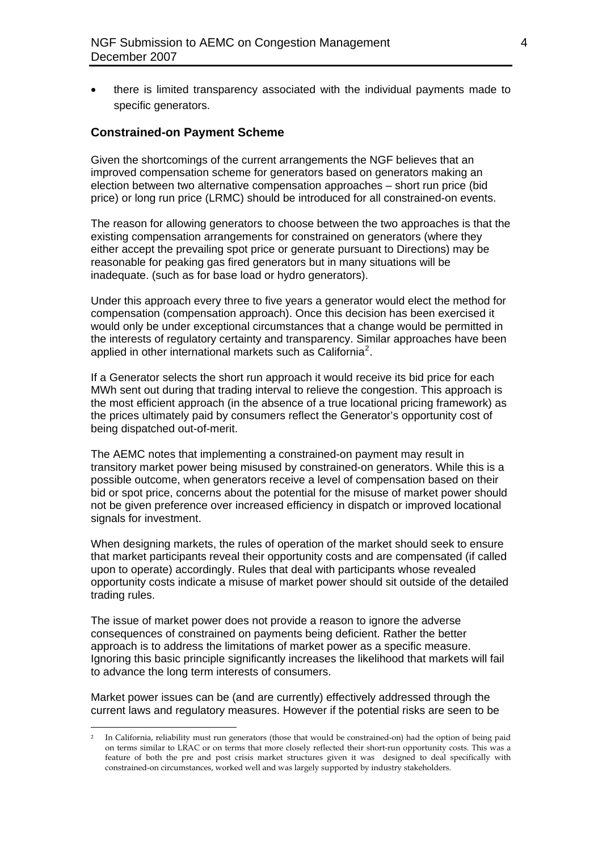• there is limited transparency associated with the individual payments made to specific generators.

#### **Constrained-on Payment Scheme**

Given the shortcomings of the current arrangements the NGF believes that an improved compensation scheme for generators based on generators making an election between two alternative compensation approaches – short run price (bid price) or long run price (LRMC) should be introduced for all constrained-on events.

The reason for allowing generators to choose between the two approaches is that the existing compensation arrangements for constrained on generators (where they either accept the prevailing spot price or generate pursuant to Directions) may be reasonable for peaking gas fired generators but in many situations will be inadequate. (such as for base load or hydro generators).

Under this approach every three to five years a generator would elect the method for compensation (compensation approach). Once this decision has been exercised it would only be under exceptional circumstances that a change would be permitted in the interests of regulatory certainty and transparency. Similar approaches have been applied in other international markets such as California<sup>[2](#page-3-0)</sup>.

If a Generator selects the short run approach it would receive its bid price for each MWh sent out during that trading interval to relieve the congestion. This approach is the most efficient approach (in the absence of a true locational pricing framework) as the prices ultimately paid by consumers reflect the Generator's opportunity cost of being dispatched out-of-merit.

The AEMC notes that implementing a constrained-on payment may result in transitory market power being misused by constrained-on generators. While this is a possible outcome, when generators receive a level of compensation based on their bid or spot price, concerns about the potential for the misuse of market power should not be given preference over increased efficiency in dispatch or improved locational signals for investment.

When designing markets, the rules of operation of the market should seek to ensure that market participants reveal their opportunity costs and are compensated (if called upon to operate) accordingly. Rules that deal with participants whose revealed opportunity costs indicate a misuse of market power should sit outside of the detailed trading rules.

The issue of market power does not provide a reason to ignore the adverse consequences of constrained on payments being deficient. Rather the better approach is to address the limitations of market power as a specific measure. Ignoring this basic principle significantly increases the likelihood that markets will fail to advance the long term interests of consumers.

Market power issues can be (and are currently) effectively addressed through the current laws and regulatory measures. However if the potential risks are seen to be

 $\overline{a}$ 

<span id="page-3-0"></span><sup>2</sup> In California, reliability must run generators (those that would be constrained-on) had the option of being paid on terms similar to LRAC or on terms that more closely reflected their short-run opportunity costs. This was a feature of both the pre and post crisis market structures given it was designed to deal specifically with constrained-on circumstances, worked well and was largely supported by industry stakeholders.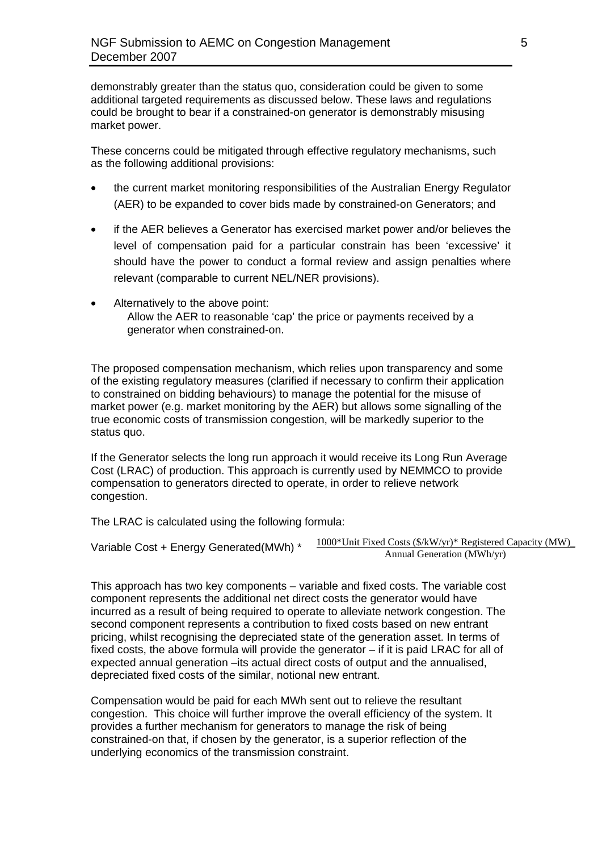demonstrably greater than the status quo, consideration could be given to some additional targeted requirements as discussed below. These laws and regulations could be brought to bear if a constrained-on generator is demonstrably misusing market power.

These concerns could be mitigated through effective regulatory mechanisms, such as the following additional provisions:

- the current market monitoring responsibilities of the Australian Energy Regulator (AER) to be expanded to cover bids made by constrained-on Generators; and
- if the AER believes a Generator has exercised market power and/or believes the level of compensation paid for a particular constrain has been 'excessive' it should have the power to conduct a formal review and assign penalties where relevant (comparable to current NEL/NER provisions).
- Alternatively to the above point: Allow the AER to reasonable 'cap' the price or payments received by a generator when constrained-on.

The proposed compensation mechanism, which relies upon transparency and some of the existing regulatory measures (clarified if necessary to confirm their application to constrained on bidding behaviours) to manage the potential for the misuse of market power (e.g. market monitoring by the AER) but allows some signalling of the true economic costs of transmission congestion, will be markedly superior to the status quo.

If the Generator selects the long run approach it would receive its Long Run Average Cost (LRAC) of production. This approach is currently used by NEMMCO to provide compensation to generators directed to operate, in order to relieve network congestion.

The LRAC is calculated using the following formula:

1000\*Unit Fixed Costs (\$/kW/yr)\* Registered Capacity (MW)\_ Variable Cost + Energy Generated(MWh) \*  $\frac{1000^{\circ}$  Unit Fixed Costs ( $\frac{S/KW/yr}{r}$  Registered Generation (MWh/yr)

This approach has two key components – variable and fixed costs. The variable cost component represents the additional net direct costs the generator would have incurred as a result of being required to operate to alleviate network congestion. The second component represents a contribution to fixed costs based on new entrant pricing, whilst recognising the depreciated state of the generation asset. In terms of fixed costs, the above formula will provide the generator – if it is paid LRAC for all of expected annual generation –its actual direct costs of output and the annualised, depreciated fixed costs of the similar, notional new entrant.

Compensation would be paid for each MWh sent out to relieve the resultant congestion. This choice will further improve the overall efficiency of the system. It provides a further mechanism for generators to manage the risk of being constrained-on that, if chosen by the generator, is a superior reflection of the underlying economics of the transmission constraint.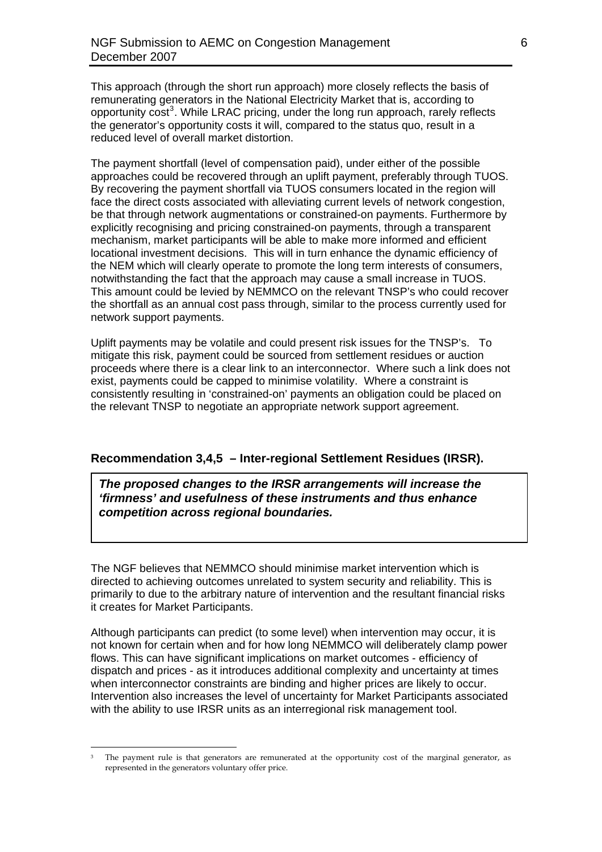This approach (through the short run approach) more closely reflects the basis of remunerating generators in the National Electricity Market that is, according to opportunity cost<sup>[3](#page-5-0)</sup>. While LRAC pricing, under the long run approach, rarely reflects the generator's opportunity costs it will, compared to the status quo, result in a reduced level of overall market distortion.

The payment shortfall (level of compensation paid), under either of the possible approaches could be recovered through an uplift payment, preferably through TUOS. By recovering the payment shortfall via TUOS consumers located in the region will face the direct costs associated with alleviating current levels of network congestion, be that through network augmentations or constrained-on payments. Furthermore by explicitly recognising and pricing constrained-on payments, through a transparent mechanism, market participants will be able to make more informed and efficient locational investment decisions. This will in turn enhance the dynamic efficiency of the NEM which will clearly operate to promote the long term interests of consumers, notwithstanding the fact that the approach may cause a small increase in TUOS. This amount could be levied by NEMMCO on the relevant TNSP's who could recover the shortfall as an annual cost pass through, similar to the process currently used for network support payments.

Uplift payments may be volatile and could present risk issues for the TNSP's. To mitigate this risk, payment could be sourced from settlement residues or auction proceeds where there is a clear link to an interconnector. Where such a link does not exist, payments could be capped to minimise volatility. Where a constraint is consistently resulting in 'constrained-on' payments an obligation could be placed on the relevant TNSP to negotiate an appropriate network support agreement.

## **Recommendation 3,4,5 – Inter-regional Settlement Residues (IRSR).**

*The proposed changes to the IRSR arrangements will increase the 'firmness' and usefulness of these instruments and thus enhance competition across regional boundaries.* 

The NGF believes that NEMMCO should minimise market intervention which is directed to achieving outcomes unrelated to system security and reliability. This is primarily to due to the arbitrary nature of intervention and the resultant financial risks it creates for Market Participants.

Although participants can predict (to some level) when intervention may occur, it is not known for certain when and for how long NEMMCO will deliberately clamp power flows. This can have significant implications on market outcomes - efficiency of dispatch and prices - as it introduces additional complexity and uncertainty at times when interconnector constraints are binding and higher prices are likely to occur. Intervention also increases the level of uncertainty for Market Participants associated with the ability to use IRSR units as an interregional risk management tool.

 $\overline{a}$ 

<span id="page-5-0"></span>The payment rule is that generators are remunerated at the opportunity cost of the marginal generator, as represented in the generators voluntary offer price.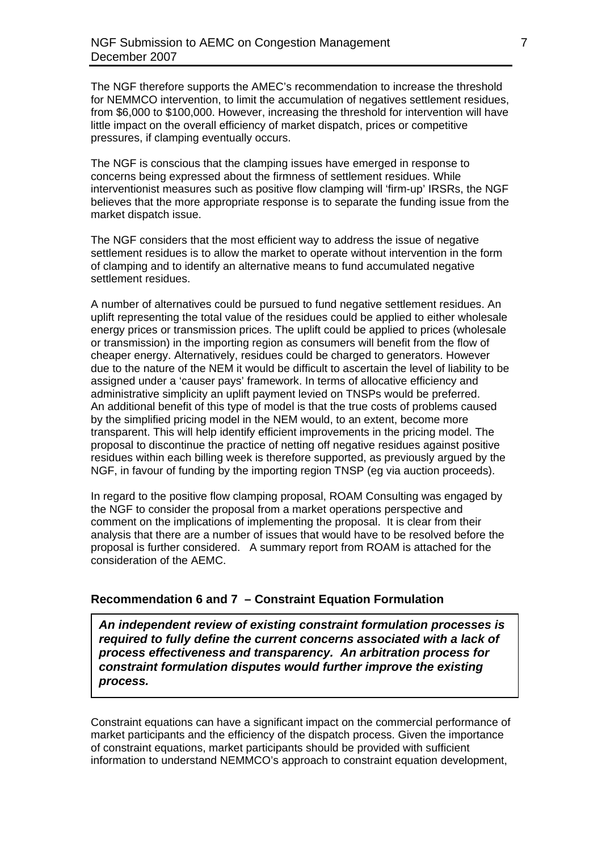The NGF therefore supports the AMEC's recommendation to increase the threshold for NEMMCO intervention, to limit the accumulation of negatives settlement residues, from \$6,000 to \$100,000. However, increasing the threshold for intervention will have little impact on the overall efficiency of market dispatch, prices or competitive pressures, if clamping eventually occurs.

The NGF is conscious that the clamping issues have emerged in response to concerns being expressed about the firmness of settlement residues. While interventionist measures such as positive flow clamping will 'firm-up' IRSRs, the NGF believes that the more appropriate response is to separate the funding issue from the market dispatch issue.

The NGF considers that the most efficient way to address the issue of negative settlement residues is to allow the market to operate without intervention in the form of clamping and to identify an alternative means to fund accumulated negative settlement residues.

A number of alternatives could be pursued to fund negative settlement residues. An uplift representing the total value of the residues could be applied to either wholesale energy prices or transmission prices. The uplift could be applied to prices (wholesale or transmission) in the importing region as consumers will benefit from the flow of cheaper energy. Alternatively, residues could be charged to generators. However due to the nature of the NEM it would be difficult to ascertain the level of liability to be assigned under a 'causer pays' framework. In terms of allocative efficiency and administrative simplicity an uplift payment levied on TNSPs would be preferred. An additional benefit of this type of model is that the true costs of problems caused by the simplified pricing model in the NEM would, to an extent, become more transparent. This will help identify efficient improvements in the pricing model. The proposal to discontinue the practice of netting off negative residues against positive residues within each billing week is therefore supported, as previously argued by the NGF, in favour of funding by the importing region TNSP (eg via auction proceeds).

In regard to the positive flow clamping proposal, ROAM Consulting was engaged by the NGF to consider the proposal from a market operations perspective and comment on the implications of implementing the proposal. It is clear from their analysis that there are a number of issues that would have to be resolved before the proposal is further considered. A summary report from ROAM is attached for the consideration of the AEMC.

# **Recommendation 6 and 7 – Constraint Equation Formulation**

*An independent review of existing constraint formulation processes is required to fully define the current concerns associated with a lack of process effectiveness and transparency. An arbitration process for constraint formulation disputes would further improve the existing process.* 

Constraint equations can have a significant impact on the commercial performance of market participants and the efficiency of the dispatch process. Given the importance of constraint equations, market participants should be provided with sufficient information to understand NEMMCO's approach to constraint equation development,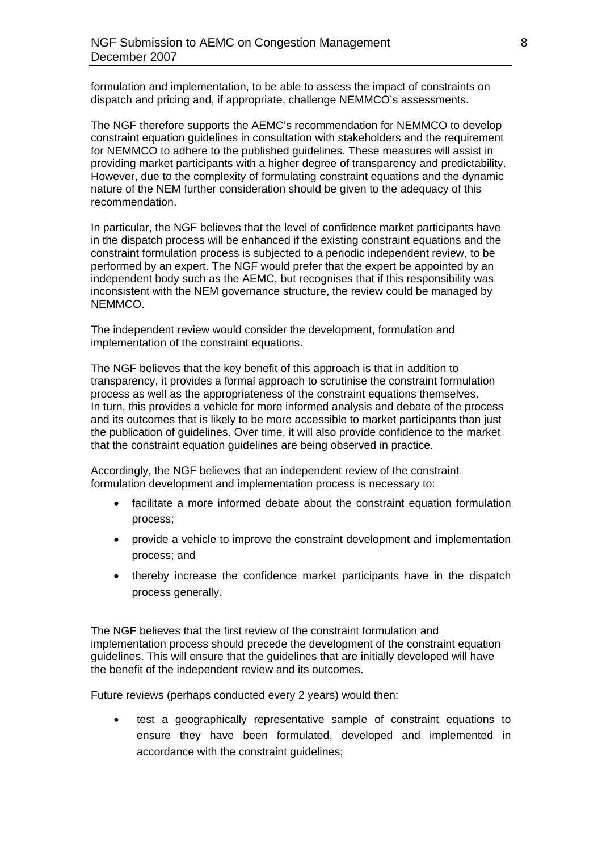formulation and implementation, to be able to assess the impact of constraints on dispatch and pricing and, if appropriate, challenge NEMMCO's assessments.

The NGF therefore supports the AEMC's recommendation for NEMMCO to develop constraint equation guidelines in consultation with stakeholders and the requirement for NEMMCO to adhere to the published guidelines. These measures will assist in providing market participants with a higher degree of transparency and predictability. However, due to the complexity of formulating constraint equations and the dynamic nature of the NEM further consideration should be given to the adequacy of this recommendation.

In particular, the NGF believes that the level of confidence market participants have in the dispatch process will be enhanced if the existing constraint equations and the constraint formulation process is subjected to a periodic independent review, to be performed by an expert. The NGF would prefer that the expert be appointed by an independent body such as the AEMC, but recognises that if this responsibility was inconsistent with the NEM governance structure, the review could be managed by NEMMCO.

The independent review would consider the development, formulation and implementation of the constraint equations.

The NGF believes that the key benefit of this approach is that in addition to transparency, it provides a formal approach to scrutinise the constraint formulation process as well as the appropriateness of the constraint equations themselves. In turn, this provides a vehicle for more informed analysis and debate of the process and its outcomes that is likely to be more accessible to market participants than just the publication of guidelines. Over time, it will also provide confidence to the market that the constraint equation guidelines are being observed in practice.

Accordingly, the NGF believes that an independent review of the constraint formulation development and implementation process is necessary to:

- facilitate a more informed debate about the constraint equation formulation process;
- provide a vehicle to improve the constraint development and implementation process; and
- thereby increase the confidence market participants have in the dispatch process generally.

The NGF believes that the first review of the constraint formulation and implementation process should precede the development of the constraint equation guidelines. This will ensure that the guidelines that are initially developed will have the benefit of the independent review and its outcomes.

Future reviews (perhaps conducted every 2 years) would then:

• test a geographically representative sample of constraint equations to ensure they have been formulated, developed and implemented in accordance with the constraint guidelines;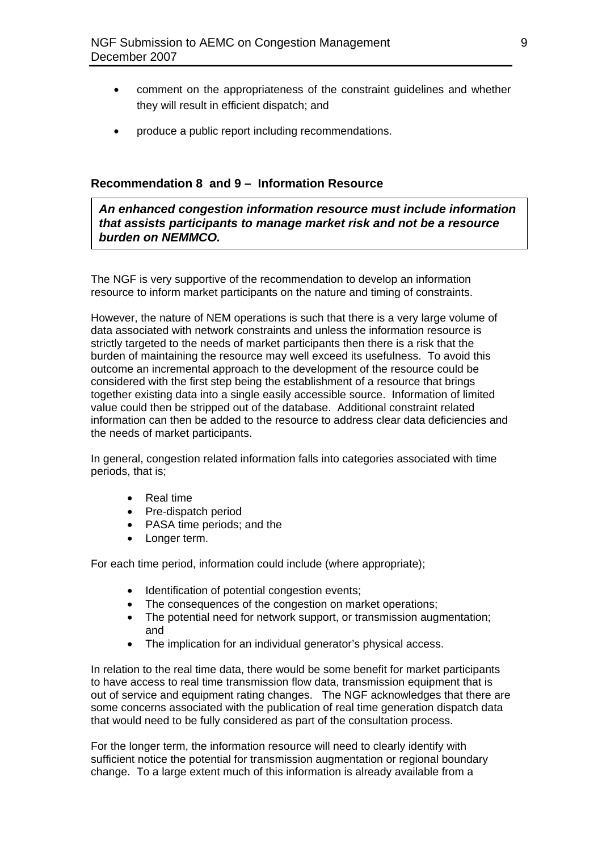- comment on the appropriateness of the constraint guidelines and whether they will result in efficient dispatch; and
- produce a public report including recommendations.

# **Recommendation 8 and 9 – Information Resource**

*An enhanced congestion information resource must include information that assists participants to manage market risk and not be a resource burden on NEMMCO.* 

The NGF is very supportive of the recommendation to develop an information resource to inform market participants on the nature and timing of constraints.

However, the nature of NEM operations is such that there is a very large volume of data associated with network constraints and unless the information resource is strictly targeted to the needs of market participants then there is a risk that the burden of maintaining the resource may well exceed its usefulness. To avoid this outcome an incremental approach to the development of the resource could be considered with the first step being the establishment of a resource that brings together existing data into a single easily accessible source. Information of limited value could then be stripped out of the database. Additional constraint related information can then be added to the resource to address clear data deficiencies and the needs of market participants.

In general, congestion related information falls into categories associated with time periods, that is;

- Real time
- Pre-dispatch period
- PASA time periods; and the
- Longer term.

For each time period, information could include (where appropriate);

- Identification of potential congestion events;
- The consequences of the congestion on market operations;
- The potential need for network support, or transmission augmentation; and
- The implication for an individual generator's physical access.

In relation to the real time data, there would be some benefit for market participants to have access to real time transmission flow data, transmission equipment that is out of service and equipment rating changes. The NGF acknowledges that there are some concerns associated with the publication of real time generation dispatch data that would need to be fully considered as part of the consultation process.

For the longer term, the information resource will need to clearly identify with sufficient notice the potential for transmission augmentation or regional boundary change. To a large extent much of this information is already available from a